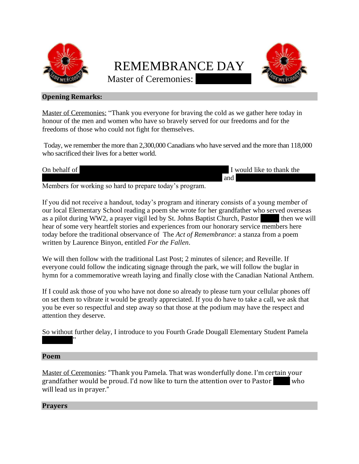

# REMEMBRANCE DAY



Master of Ceremonies:

## **Opening Remarks:**

Master of Ceremonies: "Thank you everyone for braving the cold as we gather here today in honour of the men and women who have so bravely served for our freedoms and for the freedoms of those who could not fight for themselves.

Today, we remember the more than 2,300,000 Canadians who have served and the more than 118,000 who sacrificed their lives for a better world.

| $\sim$<br>On behalf of | d like to thank<br>the<br>- would |
|------------------------|-----------------------------------|
|                        | and                               |

Members for working so hard to prepare today's program.

If you did not receive a handout, today's program and itinerary consists of a young member of our local Elementary School reading a poem she wrote for her grandfather who served overseas as a pilot during WW2, a prayer vigil led by St. Johns Baptist Church, Pastor then we will hear of some very heartfelt stories and experiences from our honorary service members here today before the traditional observance of The *Act of Remembrance*: a stanza from a poem written by Laurence Binyon, entitled *For the Fallen*.

We will then follow with the traditional Last Post; 2 minutes of silence; and Reveille. If everyone could follow the indicating signage through the park, we will follow the buglar in hymn for a commemorative wreath laying and finally close with the Canadian National Anthem.

If I could ask those of you who have not done so already to please turn your cellular phones off on set them to vibrate it would be greatly appreciated. If you do have to take a call, we ask that you be ever so respectful and step away so that those at the podium may have the respect and attention they deserve.

So without further delay, I introduce to you Fourth Grade Dougall Elementary Student Pamela

## **Poem**

 $\mathcal{L}$ 

Master of Ceremonies: "Thank you Pamela. That was wonderfully done. I'm certain your grandfather would be proud. I'd now like to turn the attention over to Pastor who will lead us in prayer."

## **Prayers**